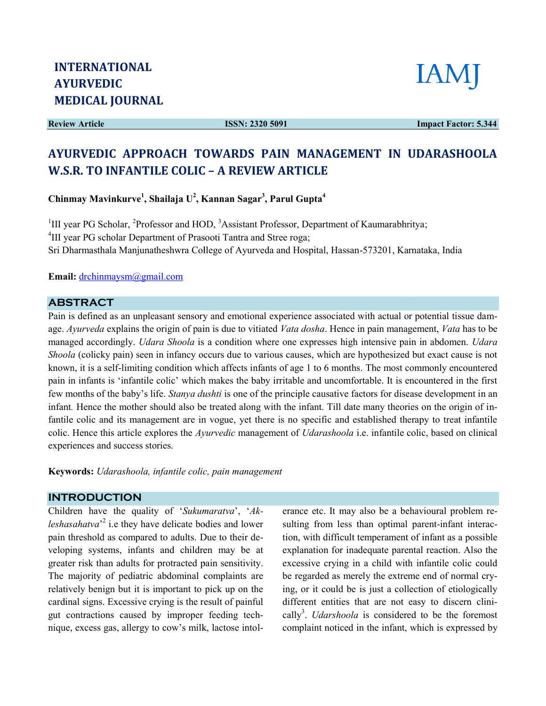Review Article

ISSN: 2320 5091



Impact Factor: 5.344

# AYURVEDIC APPROACH TOWARDS PAIN MANAGEMENT IN UDARASHOOLA W.S.R. TO INFANTILE COLIC - A REVIEW ARTICLE

Chinmay Mavinkurve<sup>1</sup>, Shailaja U<sup>2</sup>, Kannan Sagar<sup>3</sup>, Parul Gupta<sup>4</sup>

<sup>1</sup>III year PG Scholar, <sup>2</sup>Professor and HOD, <sup>3</sup>Assistant Professor, Department of Kaumarabhritya; <sup>4</sup>III year PG scholar Department of Prasooti Tantra and Stree roga; Sri Dharmasthala Manjunatheshwra College of Ayurveda and Hospital, Hassan Dharmasthala Hassan-573201, Karnataka, India

Email: drchinmaysm@gmail.com

### ABSTRACT

Sri Dharmasthala Manjunatheshwra College of Ayurveda and Hospital, Hassan-573201, Karnataka, India<br>
Email: <u>drchinmaysm@gmail.com</u><br>
ABSTRACT<br>
Pain is defined as an unpleasant sensory and emotional experience associated wit Pain is defined as an unpleasant sensory and emotional experience associated with actual or potential tissue dam-<br>age. Ayurveda explains the origin of pain is due to vitiated Vata dosha. Hence in pain management, Vata has managed accordingly. Udara Shoola is a condition where one expresses high intensive pain in abdomen. Udara Shoola (colicky pain) seen in infancy occurs due to various causes, which are hypothesized but exact cause is not Shoola (colicky pain) seen in infancy occurs due to various causes, which are hypothesized but exact cause is not<br>known, it is a self-limiting condition which affects infants of age 1 to 6 months. The most commonly encount pain in infants is 'infantile colic' which makes the baby irritable and uncomfortable. It is encountered in the first few months of the baby's life. Stanya dushti is one of the principle causative factors for disease development in an infant. Hence the mother should also be treated along with the infant. Till date many theories on the origin of infantile colic and its management are in vogue, yet there is no specific and established therapy to treat infantile colic. Hence this article explores the *Ayurvedic* management of *Udarashoola* i.e. infantile colic, based on clinical experiences and success stories. nt of *Udarashoola* i.e. infantile colic, based on clinical<br>erance etc. It may also be a behavioural problem re-

Keywords: Udarashoola, infantile colic, pain management

#### INTRODUCTION

Children have the quality of 'Sukumaratva', 'Akleshasahatva<sup>2</sup> i.e they have delicate bodies and lower *leshasahatva*<sup>2</sup> i.e they have delicate bodies and lower<br>pain threshold as compared to adults. Due to their developing systems, infants and children may be at veloping systems, infants and children may be at greater risk than adults for protracted pain sensitivity. The majority of pediatric abdominal complaints are relatively benign but it is important to pick up on the cardinal signs. Excessive crying is the result of painful gut contractions caused by improper feeding tec nique, excess gas, allergy to cow's milk, lactose intolmajority of pediatric abdominal complaints are<br>vely benign but it is important to pick up on the<br>nal signs. Excessive crying is the result of painful<br>contractions caused by improper feeding tech-

sulting from less than optimal parent-infant interaction, with difficult temperament of infant as a possible explanation for inadequate parental reaction. Also the explanation for inadequate parental reaction. Also the excessive crying in a child with infantile colic could be regarded as merely the extreme end of normal crying, or it could be is just a collection of etiologically ing, or it could be is just a collection of etiologically<br>different entities that are not easy to discern clinically<sup>3</sup>. Udarshoola is considered to be the foremost cally<sup>3</sup>. *Udarshoola* is considered to be the foremost complaint noticed in the infant, which is expressed by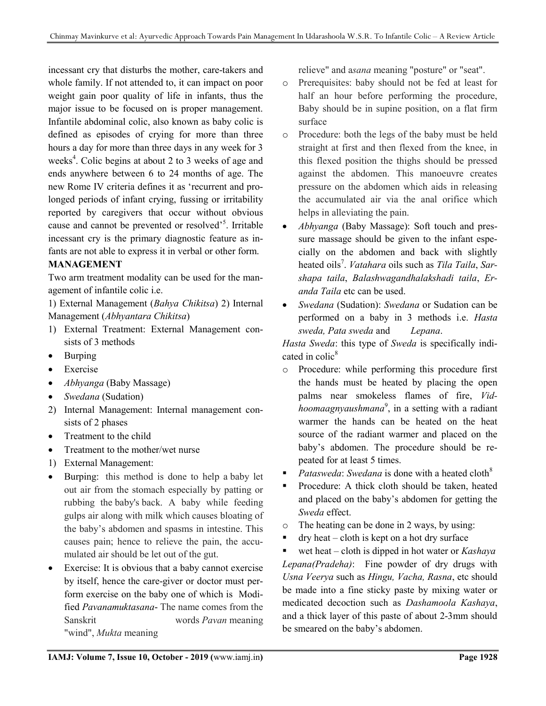incessant cry that disturbs the mother, care-takers and whole family. If not attended to, it can impact on poor weight gain poor quality of life in infants, thus the major issue to be focused on is proper management. Infantile abdominal colic, also known as baby colic is defined as episodes of crying for more than three hours a day for more than three days in any week for 3 weeks<sup>4</sup>. Colic begins at about 2 to 3 weeks of age and ends anywhere between 6 to 24 months of age. The new Rome IV criteria defines it as 'recurrent and prolonged periods of infant crying, fussing or irritability reported by caregivers that occur without obvious cause and cannot be prevented or resolved<sup>55</sup>. Irritable incessant cry is the primary diagnostic feature as infants are not able to express it in verbal or other form.

# MANAGEMENT

Two arm treatment modality can be used for the management of infantile colic i.e.

1) External Management (Bahya Chikitsa) 2) Internal Management (Abhyantara Chikitsa)

- 1) External Treatment: External Management consists of 3 methods
- Burping
- Exercise
- *Abhyanga* (Baby Massage)
- Swedana (Sudation)
- 2) Internal Management: Internal management consists of 2 phases
- Treatment to the child
- Treatment to the mother/wet nurse
- 1) External Management:
- Burping: this method is done to help a baby let out air from the stomach especially by patting or rubbing the baby's back. A baby while feeding gulps air along with milk which causes bloating of the baby's abdomen and spasms in intestine. This causes pain; hence to relieve the pain, the accumulated air should be let out of the gut.
- Exercise: It is obvious that a baby cannot exercise by itself, hence the care-giver or doctor must perform exercise on the baby one of which is Modified Pavanamuktasana- The name comes from the Sanskrit words Pavan meaning "wind", *Mukta* meaning

relieve" and asana meaning "posture" or "seat".

- o Prerequisites: baby should not be fed at least for half an hour before performing the procedure, Baby should be in supine position, on a flat firm surface
- o Procedure: both the legs of the baby must be held straight at first and then flexed from the knee, in this flexed position the thighs should be pressed against the abdomen. This manoeuvre creates pressure on the abdomen which aids in releasing the accumulated air via the anal orifice which helps in alleviating the pain.
- Abhyanga (Baby Massage): Soft touch and pressure massage should be given to the infant especially on the abdomen and back with slightly heated oils<sup>7</sup>. *Vatahara* oils such as Tila Taila, Sarshapa taila, Balashwagandhalakshadi taila, Eranda Taila etc can be used.
- Swedana (Sudation): Swedana or Sudation can be performed on a baby in 3 methods i.e. Hasta sweda, Pata sweda and Lepana.

Hasta Sweda: this type of Sweda is specifically indicated in colic $8$ 

- o Procedure: while performing this procedure first the hands must be heated by placing the open palms near smokeless flames of fire, Vidhoomaagnyaushmana<sup>9</sup>, in a setting with a radiant warmer the hands can be heated on the heat source of the radiant warmer and placed on the baby's abdomen. The procedure should be repeated for at least 5 times.
- Patasweda: Swedana is done with a heated cloth<sup>8</sup>
- Procedure: A thick cloth should be taken, heated and placed on the baby's abdomen for getting the Sweda effect.
- o The heating can be done in 2 ways, by using:
- $\blacksquare$  dry heat cloth is kept on a hot dry surface
- wet heat cloth is dipped in hot water or  $Kashaya$ Lepana(Pradeha): Fine powder of dry drugs with Usna Veerya such as Hingu, Vacha, Rasna, etc should be made into a fine sticky paste by mixing water or medicated decoction such as Dashamoola Kashaya, and a thick layer of this paste of about 2-3mm should be smeared on the baby's abdomen.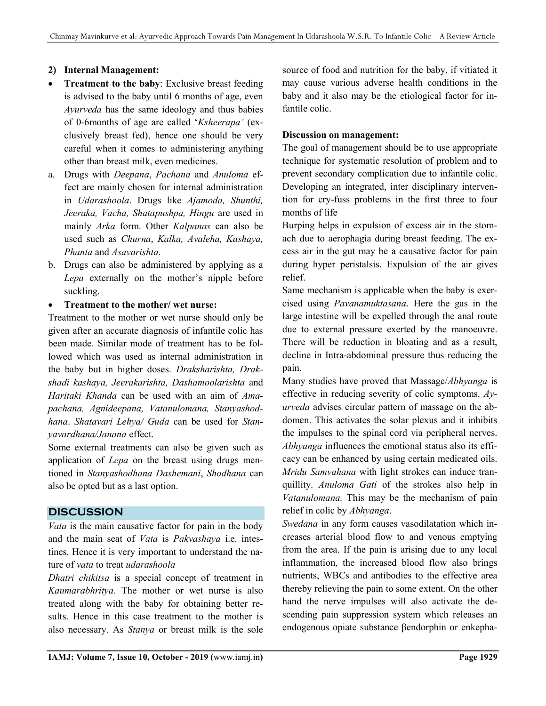#### 2) Internal Management:

- Treatment to the baby: Exclusive breast feeding is advised to the baby until 6 months of age, even Ayurveda has the same ideology and thus babies of 0-6months of age are called 'Ksheerapa' (exclusively breast fed), hence one should be very careful when it comes to administering anything other than breast milk, even medicines.
- a. Drugs with Deepana, Pachana and Anuloma effect are mainly chosen for internal administration in Udarashoola. Drugs like Ajamoda, Shunthi, Jeeraka, Vacha, Shatapushpa, Hingu are used in mainly Arka form. Other Kalpanas can also be used such as Churna, Kalka, Avaleha, Kashaya, Phanta and Asavarishta.
- b. Drugs can also be administered by applying as a Lepa externally on the mother's nipple before suckling.
- Treatment to the mother/ wet nurse:

Treatment to the mother or wet nurse should only be given after an accurate diagnosis of infantile colic has been made. Similar mode of treatment has to be followed which was used as internal administration in the baby but in higher doses. Draksharishta, Drakshadi kashaya, Jeerakarishta, Dashamoolarishta and Haritaki Khanda can be used with an aim of Amapachana, Agnideepana, Vatanulomana, Stanyashodhana. Shatavari Lehya/ Guda can be used for Stanyavardhana/Janana effect.

Some external treatments can also be given such as application of Lepa on the breast using drugs mentioned in Stanyashodhana Dashemani, Shodhana can also be opted but as a last option.

## **DISCUSSION**

Vata is the main causative factor for pain in the body and the main seat of Vata is Pakvashaya i.e. intestines. Hence it is very important to understand the nature of vata to treat udarashoola

Dhatri chikitsa is a special concept of treatment in Kaumarabhritya. The mother or wet nurse is also treated along with the baby for obtaining better results. Hence in this case treatment to the mother is also necessary. As Stanya or breast milk is the sole source of food and nutrition for the baby, if vitiated it may cause various adverse health conditions in the baby and it also may be the etiological factor for infantile colic.

#### Discussion on management:

The goal of management should be to use appropriate technique for systematic resolution of problem and to prevent secondary complication due to infantile colic. Developing an integrated, inter disciplinary intervention for cry-fuss problems in the first three to four months of life

Burping helps in expulsion of excess air in the stomach due to aerophagia during breast feeding. The excess air in the gut may be a causative factor for pain during hyper peristalsis. Expulsion of the air gives relief.

Same mechanism is applicable when the baby is exercised using Pavanamuktasana. Here the gas in the large intestine will be expelled through the anal route due to external pressure exerted by the manoeuvre. There will be reduction in bloating and as a result, decline in Intra-abdominal pressure thus reducing the pain.

Many studies have proved that Massage/Abhyanga is effective in reducing severity of colic symptoms.  $Ay$ urveda advises circular pattern of massage on the abdomen. This activates the solar plexus and it inhibits the impulses to the spinal cord via peripheral nerves. Abhyanga influences the emotional status also its efficacy can be enhanced by using certain medicated oils. Mridu Samvahana with light strokes can induce tranquillity. Anuloma Gati of the strokes also help in Vatanulomana. This may be the mechanism of pain relief in colic by Abhyanga.

Swedana in any form causes vasodilatation which increases arterial blood flow to and venous emptying from the area. If the pain is arising due to any local inflammation, the increased blood flow also brings nutrients, WBCs and antibodies to the effective area thereby relieving the pain to some extent. On the other hand the nerve impulses will also activate the descending pain suppression system which releases an endogenous opiate substance βendorphin or enkepha